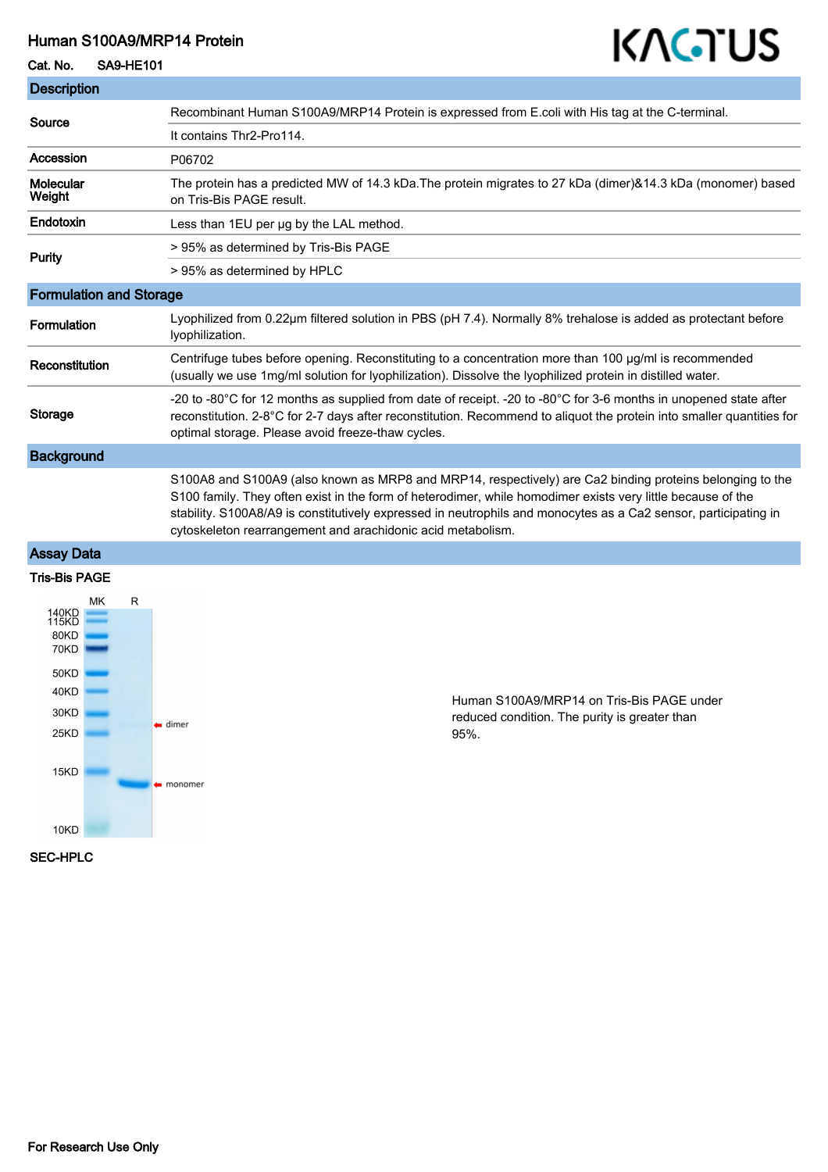## Human S100A9/MRP14 Protein

## Cat. No. SA9-HE101

# KAGTUS

| <b>Description</b>             |                                                                                                                                                                                                                                                                                                                                                                                                           |
|--------------------------------|-----------------------------------------------------------------------------------------------------------------------------------------------------------------------------------------------------------------------------------------------------------------------------------------------------------------------------------------------------------------------------------------------------------|
| Source                         | Recombinant Human S100A9/MRP14 Protein is expressed from E.coli with His tag at the C-terminal.                                                                                                                                                                                                                                                                                                           |
|                                | It contains Thr2-Pro114.                                                                                                                                                                                                                                                                                                                                                                                  |
| Accession                      | P06702                                                                                                                                                                                                                                                                                                                                                                                                    |
| <b>Molecular</b><br>Weight     | The protein has a predicted MW of 14.3 kDa. The protein migrates to 27 kDa (dimer)&14.3 kDa (monomer) based<br>on Tris-Bis PAGE result.                                                                                                                                                                                                                                                                   |
| Endotoxin                      | Less than 1EU per ug by the LAL method.                                                                                                                                                                                                                                                                                                                                                                   |
| Purity                         | > 95% as determined by Tris-Bis PAGE                                                                                                                                                                                                                                                                                                                                                                      |
|                                | > 95% as determined by HPLC                                                                                                                                                                                                                                                                                                                                                                               |
| <b>Formulation and Storage</b> |                                                                                                                                                                                                                                                                                                                                                                                                           |
| Formulation                    | Lyophilized from 0.22µm filtered solution in PBS (pH 7.4). Normally 8% trehalose is added as protectant before<br>lyophilization.                                                                                                                                                                                                                                                                         |
| Reconstitution                 | Centrifuge tubes before opening. Reconstituting to a concentration more than 100 ug/ml is recommended<br>(usually we use 1mg/ml solution for lyophilization). Dissolve the lyophilized protein in distilled water.                                                                                                                                                                                        |
| Storage                        | -20 to -80°C for 12 months as supplied from date of receipt. -20 to -80°C for 3-6 months in unopened state after<br>reconstitution. 2-8°C for 2-7 days after reconstitution. Recommend to aliquot the protein into smaller quantities for<br>optimal storage. Please avoid freeze-thaw cycles.                                                                                                            |
| <b>Background</b>              |                                                                                                                                                                                                                                                                                                                                                                                                           |
|                                | S100A8 and S100A9 (also known as MRP8 and MRP14, respectively) are Ca2 binding proteins belonging to the<br>S100 family. They often exist in the form of heterodimer, while homodimer exists very little because of the<br>stability. S100A8/A9 is constitutively expressed in neutrophils and monocytes as a Ca2 sensor, participating in<br>cytoskeleton rearrangement and arachidonic acid metabolism. |

## Assay Data

#### Tris-Bis PAGE



Human S100A9/MRP14 on Tris-Bis PAGE under reduced condition. The purity is greater than 95%.

#### SEC-HPLC